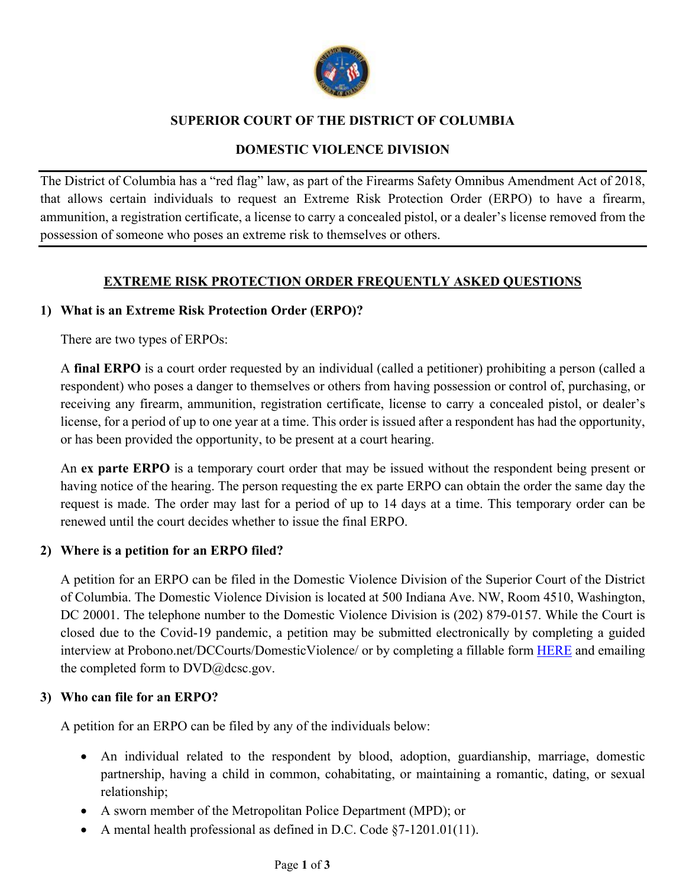

# **SUPERIOR COURT OF THE DISTRICT OF COLUMBIA**

# **DOMESTIC VIOLENCE DIVISION**

The District of Columbia has a "red flag" law, as part of the Firearms Safety Omnibus Amendment Act of 2018, that allows certain individuals to request an Extreme Risk Protection Order (ERPO) to have a firearm, ammunition, a registration certificate, a license to carry a concealed pistol, or a dealer's license removed from the possession of someone who poses an extreme risk to themselves or others.

# **EXTREME RISK PROTECTION ORDER FREQUENTLY ASKED QUESTIONS**

# **1) What is an Extreme Risk Protection Order (ERPO)?**

There are two types of ERPOs:

A **final ERPO** is a court order requested by an individual (called a petitioner) prohibiting a person (called a respondent) who poses a danger to themselves or others from having possession or control of, purchasing, or receiving any firearm, ammunition, registration certificate, license to carry a concealed pistol, or dealer's license, for a period of up to one year at a time. This order is issued after a respondent has had the opportunity, or has been provided the opportunity, to be present at a court hearing.

An **ex parte ERPO** is a temporary court order that may be issued without the respondent being present or having notice of the hearing. The person requesting the ex parte ERPO can obtain the order the same day the request is made. The order may last for a period of up to 14 days at a time. This temporary order can be renewed until the court decides whether to issue the final ERPO.

## **2) Where is a petition for an ERPO filed?**

A petition for an ERPO can be filed in the Domestic Violence Division of the Superior Court of the District of Columbia. The Domestic Violence Division is located at 500 Indiana Ave. NW, Room 4510, Washington, DC 20001. The telephone number to the Domestic Violence Division is (202) 879-0157. While the Court is closed due to the Covid-19 pandemic, a petition may be submitted electronically by completing a guided interview at Probono.net/DCCourts/DomesticViolence/ or by completing a fillable form HERE and emailing the completed form to DVD@dcsc.gov.

## **3) Who can file for an ERPO?**

A petition for an ERPO can be filed by any of the individuals below:

- An individual related to the respondent by blood, adoption, guardianship, marriage, domestic partnership, having a child in common, cohabitating, or maintaining a romantic, dating, or sexual relationship;
- A sworn member of the Metropolitan Police Department (MPD); or
- A mental health professional as defined in D.C. Code §7-1201.01(11).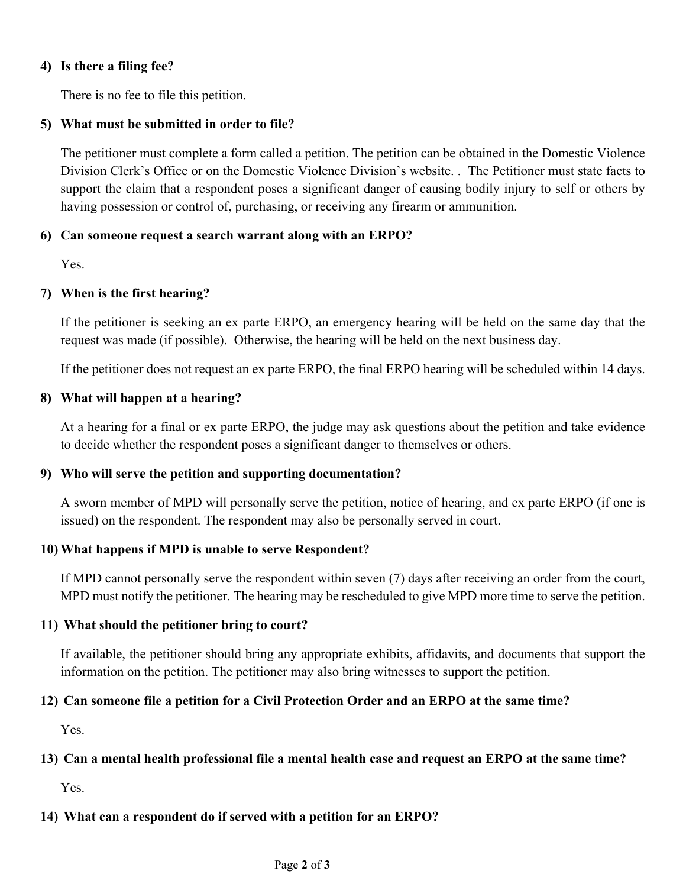### **4) Is there a filing fee?**

There is no fee to file this petition.

### **5) What must be submitted in order to file?**

The petitioner must complete a form called a petition. The petition can be obtained in the Domestic Violence Division Clerk's Office or on the Domestic Violence Division's website. . The Petitioner must state facts to support the claim that a respondent poses a significant danger of causing bodily injury to self or others by having possession or control of, purchasing, or receiving any firearm or ammunition.

### **6) Can someone request a search warrant along with an ERPO?**

Yes.

### **7) When is the first hearing?**

If the petitioner is seeking an ex parte ERPO, an emergency hearing will be held on the same day that the request was made (if possible). Otherwise, the hearing will be held on the next business day.

If the petitioner does not request an ex parte ERPO, the final ERPO hearing will be scheduled within 14 days.

#### **8) What will happen at a hearing?**

At a hearing for a final or ex parte ERPO, the judge may ask questions about the petition and take evidence to decide whether the respondent poses a significant danger to themselves or others.

#### **9) Who will serve the petition and supporting documentation?**

A sworn member of MPD will personally serve the petition, notice of hearing, and ex parte ERPO (if one is issued) on the respondent. The respondent may also be personally served in court.

#### **10) What happens if MPD is unable to serve Respondent?**

If MPD cannot personally serve the respondent within seven (7) days after receiving an order from the court, MPD must notify the petitioner. The hearing may be rescheduled to give MPD more time to serve the petition.

#### **11) What should the petitioner bring to court?**

If available, the petitioner should bring any appropriate exhibits, affidavits, and documents that support the information on the petition. The petitioner may also bring witnesses to support the petition.

## **12) Can someone file a petition for a Civil Protection Order and an ERPO at the same time?**

Yes.

#### **13) Can a mental health professional file a mental health case and request an ERPO at the same time?**

Yes.

## **14) What can a respondent do if served with a petition for an ERPO?**